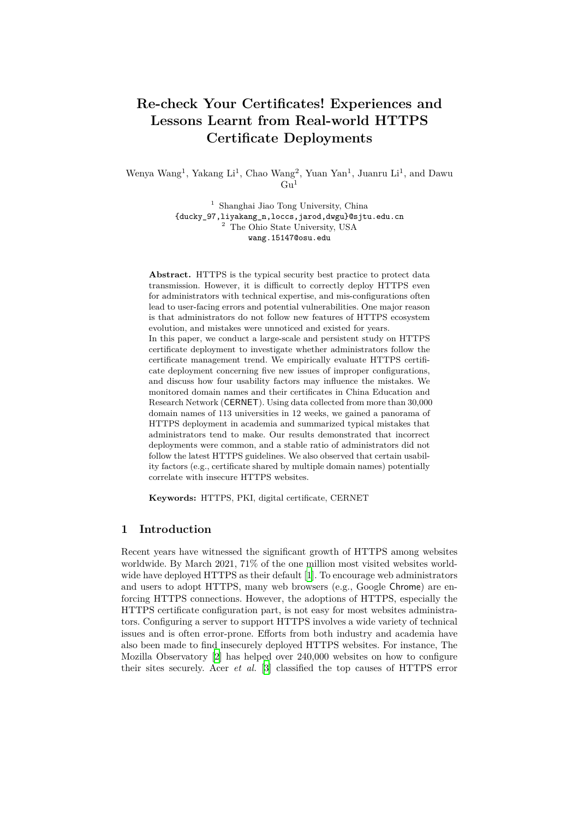# **Re-check Your Certificates! Experiences and Lessons Learnt from Real-world HTTPS Certificate Deployments**

Wenya Wang<sup>1</sup>, Yakang Li<sup>1</sup>, Chao Wang<sup>2</sup>, Yuan Yan<sup>1</sup>, Juanru Li<sup>1</sup>, and Dawu  $\mathrm{Gu}^1$ 

> <sup>1</sup> Shanghai Jiao Tong University, China {ducky\_97,liyakang\_n,loccs,jarod,dwgu}@sjtu.edu.cn <sup>2</sup> The Ohio State University, USA wang.15147@osu.edu

**Abstract.** HTTPS is the typical security best practice to protect data transmission. However, it is difficult to correctly deploy HTTPS even for administrators with technical expertise, and mis-configurations often lead to user-facing errors and potential vulnerabilities. One major reason is that administrators do not follow new features of HTTPS ecosystem evolution, and mistakes were unnoticed and existed for years. In this paper, we conduct a large-scale and persistent study on HTTPS certificate deployment to investigate whether administrators follow the certificate management trend. We empirically evaluate HTTPS certificate deployment concerning five new issues of improper configurations, and discuss how four usability factors may influence the mistakes. We monitored domain names and their certificates in China Education and Research Network (CERNET). Using data collected from more than 30,000 domain names of 113 universities in 12 weeks, we gained a panorama of HTTPS deployment in academia and summarized typical mistakes that administrators tend to make. Our results demonstrated that incorrect deployments were common, and a stable ratio of administrators did not follow the latest HTTPS guidelines. We also observed that certain usability factors (e.g., certificate shared by multiple domain names) potentially correlate with insecure HTTPS websites.

**Keywords:** HTTPS, PKI, digital certificate, CERNET

### **1 Introduction**

Recent years have witnessed the significant growth of HTTPS among websites worldwide. By March 2021, 71% of the one million most visited websites worldwide have deployed HTTPS as their default [[1\]](#page-15-0). To encourage web administrators and users to adopt HTTPS, many web browsers (e.g., Google Chrome) are enforcing HTTPS connections. However, the adoptions of HTTPS, especially the HTTPS certificate configuration part, is not easy for most websites administrators. Configuring a server to support HTTPS involves a wide variety of technical issues and is often error-prone. Efforts from both industry and academia have also been made to find insecurely deployed HTTPS websites. For instance, The Mozilla Observatory [[2\]](#page-15-1) has helped over 240,000 websites on how to configure their sites securely. Acer *et al.* [[3\]](#page-15-2) classified the top causes of HTTPS error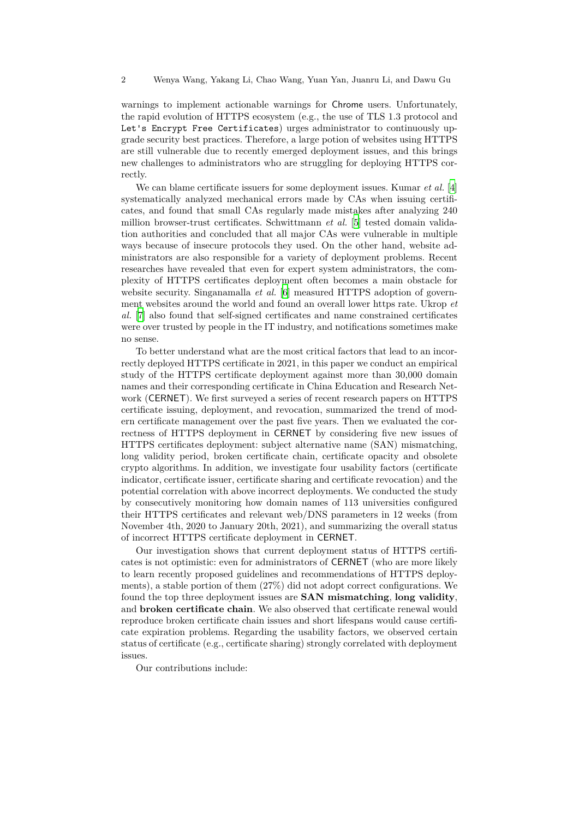warnings to implement actionable warnings for Chrome users. Unfortunately, the rapid evolution of HTTPS ecosystem (e.g., the use of TLS 1.3 protocol and Let's Encrypt Free Certificates) urges administrator to continuously upgrade security best practices. Therefore, a large potion of websites using HTTPS are still vulnerable due to recently emerged deployment issues, and this brings new challenges to administrators who are struggling for deploying HTTPS correctly.

We can blame certificate issuers for some deployment issues. Kumar *et al.* [[4\]](#page-16-0) systematically analyzed mechanical errors made by CAs when issuing certificates, and found that small CAs regularly made mistakes after analyzing 240 million browser-trust certificates. Schwittmann *et al.* [[5\]](#page-16-1) tested domain validation authorities and concluded that all major CAs were vulnerable in multiple ways because of insecure protocols they used. On the other hand, website administrators are also responsible for a variety of deployment problems. Recent researches have revealed that even for expert system administrators, the complexity of HTTPS certificates deployment often becomes a main obstacle for website security. Singanamalla *et al.* [[6\]](#page-16-2) measured HTTPS adoption of government websites around the world and found an overall lower https rate. Ukrop *et al.* [[7\]](#page-16-3) also found that self-signed certificates and name constrained certificates were over trusted by people in the IT industry, and notifications sometimes make no sense.

To better understand what are the most critical factors that lead to an incorrectly deployed HTTPS certificate in 2021, in this paper we conduct an empirical study of the HTTPS certificate deployment against more than 30,000 domain names and their corresponding certificate in China Education and Research Network (CERNET). We first surveyed a series of recent research papers on HTTPS certificate issuing, deployment, and revocation, summarized the trend of modern certificate management over the past five years. Then we evaluated the correctness of HTTPS deployment in CERNET by considering five new issues of HTTPS certificates deployment: subject alternative name (SAN) mismatching, long validity period, broken certificate chain, certificate opacity and obsolete crypto algorithms. In addition, we investigate four usability factors (certificate indicator, certificate issuer, certificate sharing and certificate revocation) and the potential correlation with above incorrect deployments. We conducted the study by consecutively monitoring how domain names of 113 universities configured their HTTPS certificates and relevant web/DNS parameters in 12 weeks (from November 4th, 2020 to January 20th, 2021), and summarizing the overall status of incorrect HTTPS certificate deployment in CERNET.

Our investigation shows that current deployment status of HTTPS certificates is not optimistic: even for administrators of CERNET (who are more likely to learn recently proposed guidelines and recommendations of HTTPS deployments), a stable portion of them (27%) did not adopt correct configurations. We found the top three deployment issues are **SAN mismatching**, **long validity**, and **broken certificate chain**. We also observed that certificate renewal would reproduce broken certificate chain issues and short lifespans would cause certificate expiration problems. Regarding the usability factors, we observed certain status of certificate (e.g., certificate sharing) strongly correlated with deployment issues.

Our contributions include: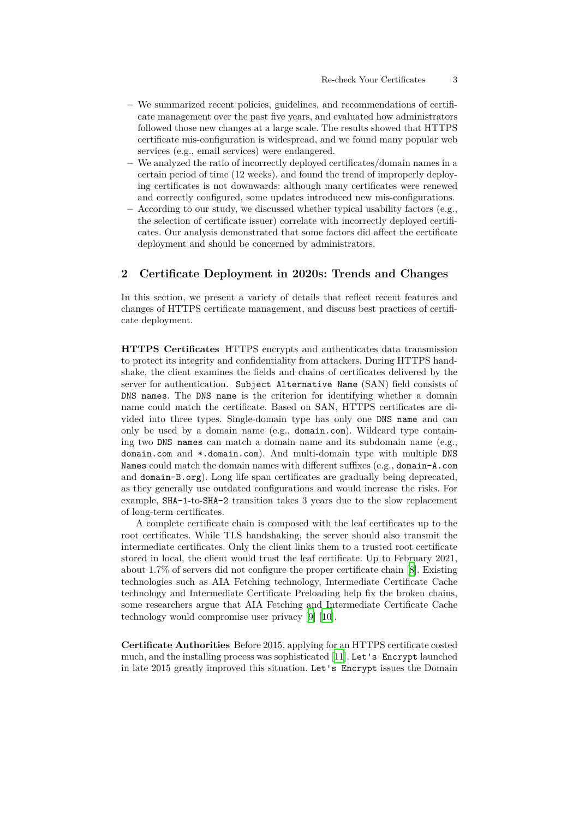- **–** We summarized recent policies, guidelines, and recommendations of certificate management over the past five years, and evaluated how administrators followed those new changes at a large scale. The results showed that HTTPS certificate mis-configuration is widespread, and we found many popular web services (e.g., email services) were endangered.
- **–** We analyzed the ratio of incorrectly deployed certificates/domain names in a certain period of time (12 weeks), and found the trend of improperly deploying certificates is not downwards: although many certificates were renewed and correctly configured, some updates introduced new mis-configurations.
- **–** According to our study, we discussed whether typical usability factors (e.g., the selection of certificate issuer) correlate with incorrectly deployed certificates. Our analysis demonstrated that some factors did affect the certificate deployment and should be concerned by administrators.

# <span id="page-2-0"></span>**2 Certificate Deployment in 2020s: Trends and Changes**

In this section, we present a variety of details that reflect recent features and changes of HTTPS certificate management, and discuss best practices of certificate deployment.

**HTTPS Certificates** HTTPS encrypts and authenticates data transmission to protect its integrity and confidentiality from attackers. During HTTPS handshake, the client examines the fields and chains of certificates delivered by the server for authentication. Subject Alternative Name (SAN) field consists of DNS names. The DNS name is the criterion for identifying whether a domain name could match the certificate. Based on SAN, HTTPS certificates are divided into three types. Single-domain type has only one DNS name and can only be used by a domain name (e.g., domain.com). Wildcard type containing two DNS names can match a domain name and its subdomain name (e.g., domain.com and \*.domain.com). And multi-domain type with multiple DNS Names could match the domain names with different suffixes (e.g., domain-A.com and domain-B.org). Long life span certificates are gradually being deprecated, as they generally use outdated configurations and would increase the risks. For example, SHA-1-to-SHA-2 transition takes 3 years due to the slow replacement of long-term certificates.

A complete certificate chain is composed with the leaf certificates up to the root certificates. While TLS handshaking, the server should also transmit the intermediate certificates. Only the client links them to a trusted root certificate stored in local, the client would trust the leaf certificate. Up to February 2021, about 1.7% of servers did not configure the proper certificate chain [\[8](#page-16-4)]. Existing technologies such as AIA Fetching technology, Intermediate Certificate Cache technology and Intermediate Certificate Preloading help fix the broken chains, some researchers argue that AIA Fetching and Intermediate Certificate Cache technology would compromise user privacy [\[9](#page-16-5)] [\[10](#page-16-6)].

**Certificate Authorities** Before 2015, applying for an HTTPS certificate costed much, and the installing process was sophisticated [[11\]](#page-16-7). Let's Encrypt launched in late 2015 greatly improved this situation. Let's Encrypt issues the Domain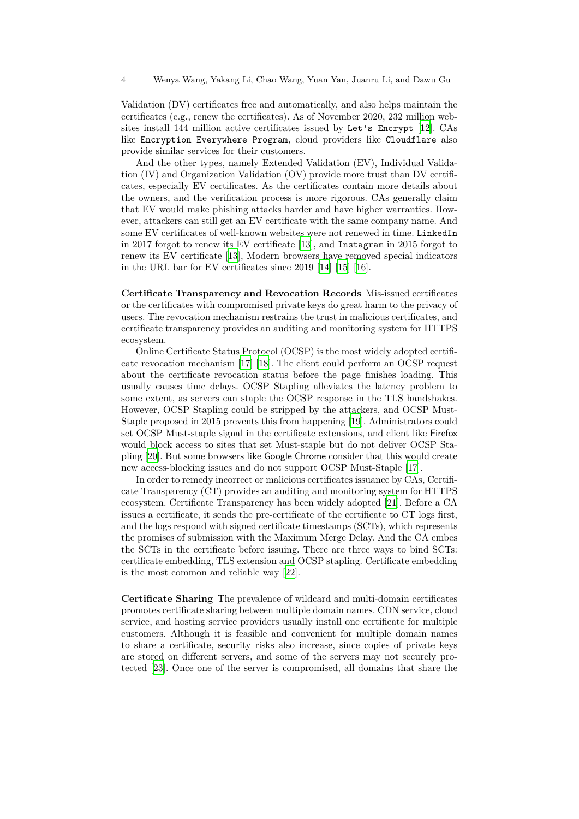Validation (DV) certificates free and automatically, and also helps maintain the certificates (e.g., renew the certificates). As of November 2020, 232 million websites install 144 million active certificates issued by Let's Encrypt [\[12](#page-16-8)]. CAs like Encryption Everywhere Program, cloud providers like Cloudflare also provide similar services for their customers.

And the other types, namely Extended Validation (EV), Individual Validation (IV) and Organization Validation (OV) provide more trust than DV certificates, especially EV certificates. As the certificates contain more details about the owners, and the verification process is more rigorous. CAs generally claim that EV would make phishing attacks harder and have higher warranties. However, attackers can still get an EV certificate with the same company name. And some EV certificates of well-known websites were not renewed in time. LinkedIn in 2017 forgot to renew its EV certificate [\[13](#page-16-9)], and Instagram in 2015 forgot to renew its EV certificate [[13\]](#page-16-9), Modern browsers have removed special indicators in the URL bar for EV certificates since 2019 [[14\]](#page-16-10) [[15\]](#page-17-0) [\[16](#page-17-1)].

**Certificate Transparency and Revocation Records** Mis-issued certificates or the certificates with compromised private keys do great harm to the privacy of users. The revocation mechanism restrains the trust in malicious certificates, and certificate transparency provides an auditing and monitoring system for HTTPS ecosystem.

Online Certificate Status Protocol (OCSP) is the most widely adopted certificate revocation mechanism [\[17](#page-17-2)] [\[18](#page-17-3)]. The client could perform an OCSP request about the certificate revocation status before the page finishes loading. This usually causes time delays. OCSP Stapling alleviates the latency problem to some extent, as servers can staple the OCSP response in the TLS handshakes. However, OCSP Stapling could be stripped by the attackers, and OCSP Must-Staple proposed in 2015 prevents this from happening[[19\]](#page-17-4). Administrators could set OCSP Must-staple signal in the certificate extensions, and client like Firefox would block access to sites that set Must-staple but do not deliver OCSP Stapling [[20\]](#page-17-5). But some browsers like Google Chrome consider that this would create new access-blocking issues and do not support OCSP Must-Staple [\[17](#page-17-2)].

In order to remedy incorrect or malicious certificates issuance by CAs, Certificate Transparency (CT) provides an auditing and monitoring system for HTTPS ecosystem. Certificate Transparency has been widely adopted [[21\]](#page-17-6). Before a CA issues a certificate, it sends the pre-certificate of the certificate to CT logs first, and the logs respond with signed certificate timestamps (SCTs), which represents the promises of submission with the Maximum Merge Delay. And the CA embes the SCTs in the certificate before issuing. There are three ways to bind SCTs: certificate embedding, TLS extension and OCSP stapling. Certificate embedding is the most common and reliable way [\[22](#page-17-7)].

**Certificate Sharing** The prevalence of wildcard and multi-domain certificates promotes certificate sharing between multiple domain names. CDN service, cloud service, and hosting service providers usually install one certificate for multiple customers. Although it is feasible and convenient for multiple domain names to share a certificate, security risks also increase, since copies of private keys are stored on different servers, and some of the servers may not securely protected [[23\]](#page-17-8). Once one of the server is compromised, all domains that share the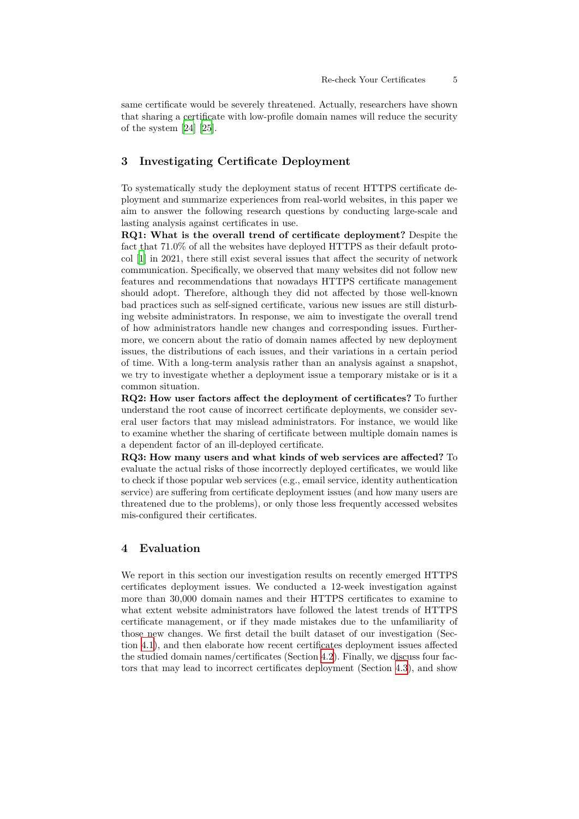same certificate would be severely threatened. Actually, researchers have shown that sharing a certificate with low-profile domain names will reduce the security of the system [\[24\]](#page-17-9) [[25\]](#page-17-10).

# **3 Investigating Certificate Deployment**

To systematically study the deployment status of recent HTTPS certificate deployment and summarize experiences from real-world websites, in this paper we aim to answer the following research questions by conducting large-scale and lasting analysis against certificates in use.

**RQ1: What is the overall trend of certificate deployment?** Despite the fact that 71.0% of all the websites have deployed HTTPS as their default protocol [\[1](#page-15-0)] in 2021, there still exist several issues that affect the security of network communication. Specifically, we observed that many websites did not follow new features and recommendations that nowadays HTTPS certificate management should adopt. Therefore, although they did not affected by those well-known bad practices such as self-signed certificate, various new issues are still disturbing website administrators. In response, we aim to investigate the overall trend of how administrators handle new changes and corresponding issues. Furthermore, we concern about the ratio of domain names affected by new deployment issues, the distributions of each issues, and their variations in a certain period of time. With a long-term analysis rather than an analysis against a snapshot, we try to investigate whether a deployment issue a temporary mistake or is it a common situation.

**RQ2: How user factors affect the deployment of certificates?** To further understand the root cause of incorrect certificate deployments, we consider several user factors that may mislead administrators. For instance, we would like to examine whether the sharing of certificate between multiple domain names is a dependent factor of an ill-deployed certificate.

**RQ3: How many users and what kinds of web services are affected?** To evaluate the actual risks of those incorrectly deployed certificates, we would like to check if those popular web services (e.g., email service, identity authentication service) are suffering from certificate deployment issues (and how many users are threatened due to the problems), or only those less frequently accessed websites mis-configured their certificates.

# **4 Evaluation**

We report in this section our investigation results on recently emerged HTTPS certificates deployment issues. We conducted a 12-week investigation against more than 30,000 domain names and their HTTPS certificates to examine to what extent website administrators have followed the latest trends of HTTPS certificate management, or if they made mistakes due to the unfamiliarity of those new changes. We first detail the built dataset of our investigation (Section [4.1](#page-5-0)), and then elaborate how recent certificates deployment issues affected the studied domain names/certificates (Section [4.2\)](#page-6-0). Finally, we discuss four factors that may lead to incorrect certificates deployment (Section [4.3](#page-10-0)), and show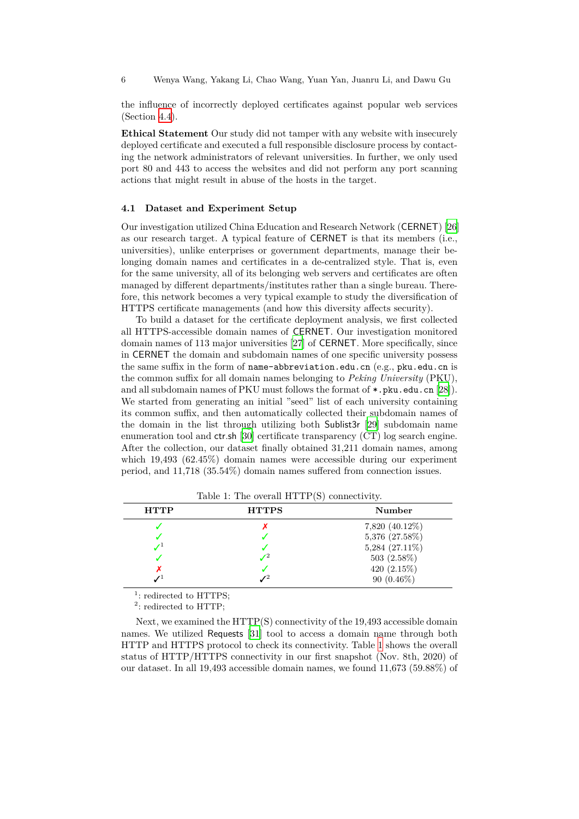6 Wenya Wang, Yakang Li, Chao Wang, Yuan Yan, Juanru Li, and Dawu Gu

the influence of incorrectly deployed certificates against popular web services (Section [4.4](#page-13-0)).

**Ethical Statement** Our study did not tamper with any website with insecurely deployed certificate and executed a full responsible disclosure process by contacting the network administrators of relevant universities. In further, we only used port 80 and 443 to access the websites and did not perform any port scanning actions that might result in abuse of the hosts in the target.

### <span id="page-5-0"></span>**4.1 Dataset and Experiment Setup**

Our investigation utilized China Education and Research Network (CERNET) [[26\]](#page-17-11) as our research target. A typical feature of CERNET is that its members (i.e., universities), unlike enterprises or government departments, manage their belonging domain names and certificates in a de-centralized style. That is, even for the same university, all of its belonging web servers and certificates are often managed by different departments/institutes rather than a single bureau. Therefore, this network becomes a very typical example to study the diversification of HTTPS certificate managements (and how this diversity affects security).

To build a dataset for the certificate deployment analysis, we first collected all HTTPS-accessible domain names of CERNET. Our investigation monitored domain names of 113 major universities [\[27](#page-17-12)] of CERNET. More specifically, since in CERNET the domain and subdomain names of one specific university possess the same suffix in the form of name-abbreviation.edu.cn (e.g., pku.edu.cn is the common suffix for all domain names belonging to *Peking University* (PKU), and all subdomain names of PKU must follows the format of  $\ast$ . pku.edu.cn [\[28](#page-17-13)]). We started from generating an initial "seed" list of each university containing its common suffix, and then automatically collected their subdomain names of the domain in the list through utilizing both Sublist3r [[29\]](#page-17-14) subdomain name enumeration tool and ctr.sh [\[30](#page-17-15)] certificate transparency (CT) log search engine. After the collection, our dataset finally obtained 31,211 domain names, among which 19,493 (62.45%) domain names were accessible during our experiment period, and 11,718 (35.54%) domain names suffered from connection issues.

<span id="page-5-1"></span>

| <b>HTTP</b> | <b>HTTPS</b> | Number         |
|-------------|--------------|----------------|
|             |              | 7,820 (40.12%) |
|             |              | 5,376 (27.58%) |
|             |              | 5,284 (27.11%) |
|             |              | 503 $(2.58\%)$ |
|             |              | 420 $(2.15\%)$ |
|             |              | 90 $(0.46\%)$  |

Table 1: The overall HTTP(S) connectivity.

<sup>1</sup>: redirected to HTTPS;

 $2$ : redirected to HTTP;

Next, we examined the HTTP(S) connectivity of the 19,493 accessible domain names. We utilized Requests [\[31](#page-17-16)] tool to access a domain name through both HTTP and HTTPS protocol to check its connectivity. Table [1](#page-5-1) shows the overall status of HTTP/HTTPS connectivity in our first snapshot (Nov. 8th, 2020) of our dataset. In all 19,493 accessible domain names, we found 11,673 (59.88%) of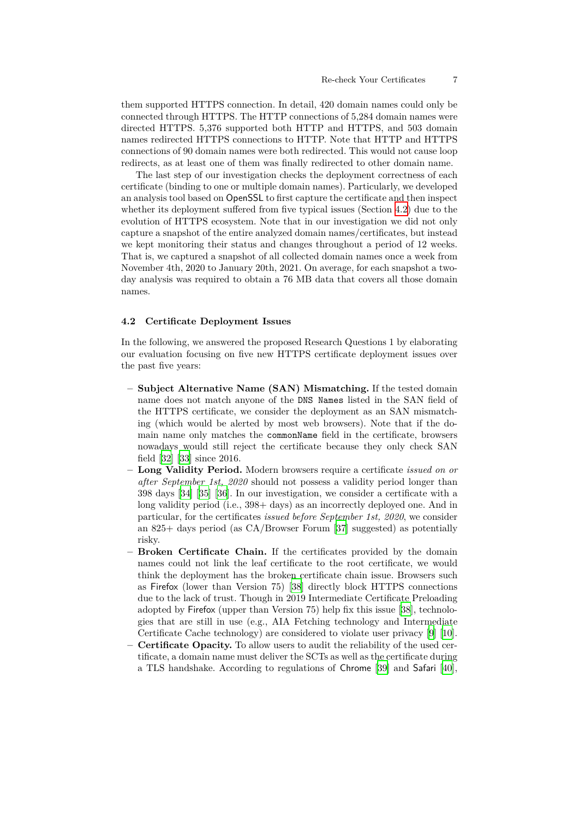them supported HTTPS connection. In detail, 420 domain names could only be connected through HTTPS. The HTTP connections of 5,284 domain names were directed HTTPS. 5,376 supported both HTTP and HTTPS, and 503 domain names redirected HTTPS connections to HTTP. Note that HTTP and HTTPS connections of 90 domain names were both redirected. This would not cause loop redirects, as at least one of them was finally redirected to other domain name.

The last step of our investigation checks the deployment correctness of each certificate (binding to one or multiple domain names). Particularly, we developed an analysis tool based on OpenSSL to first capture the certificate and then inspect whether its deployment suffered from five typical issues (Section [4.2](#page-6-0)) due to the evolution of HTTPS ecosystem. Note that in our investigation we did not only capture a snapshot of the entire analyzed domain names/certificates, but instead we kept monitoring their status and changes throughout a period of 12 weeks. That is, we captured a snapshot of all collected domain names once a week from November 4th, 2020 to January 20th, 2021. On average, for each snapshot a twoday analysis was required to obtain a 76 MB data that covers all those domain names.

#### <span id="page-6-0"></span>**4.2 Certificate Deployment Issues**

In the following, we answered the proposed Research Questions 1 by elaborating our evaluation focusing on five new HTTPS certificate deployment issues over the past five years:

- **– Subject Alternative Name (SAN) Mismatching.** If the tested domain name does not match anyone of the DNS Names listed in the SAN field of the HTTPS certificate, we consider the deployment as an SAN mismatching (which would be alerted by most web browsers). Note that if the domain name only matches the commonName field in the certificate, browsers nowadays would still reject the certificate because they only check SAN field [\[32\]](#page-17-17) [[33\]](#page-17-18) since 2016.
- **– Long Validity Period.** Modern browsers require a certificate *issued on or after September 1st, 2020* should not possess a validity period longer than 398 days [[34\]](#page-17-19) [[35\]](#page-17-20) [[36\]](#page-17-21). In our investigation, we consider a certificate with a long validity period (i.e.,  $398 + \text{days}$ ) as an incorrectly deployed one. And in particular, for the certificates *issued before September 1st, 2020*, we consider an 825+ days period (as CA/Browser Forum [[37\]](#page-17-22) suggested) as potentially risky.
- **– Broken Certificate Chain.** If the certificates provided by the domain names could not link the leaf certificate to the root certificate, we would think the deployment has the broken certificate chain issue. Browsers such as Firefox (lower than Version 75) [\[38\]](#page-17-23) directly block HTTPS connections due to the lack of trust. Though in 2019 Intermediate Certificate Preloading adopted by Firefox (upper than Version 75) help fix this issue [\[38](#page-17-23)], technologies that are still in use (e.g., AIA Fetching technology and Intermediate Certificate Cache technology) are considered to violate user privacy [\[9](#page-16-5)] [\[10](#page-16-6)].
- **– Certificate Opacity.** To allow users to audit the reliability of the used certificate, a domain name must deliver the SCTs as well as the certificate during a TLS handshake. According to regulations of Chrome [\[39](#page-17-24)] and Safari [\[40](#page-18-0)],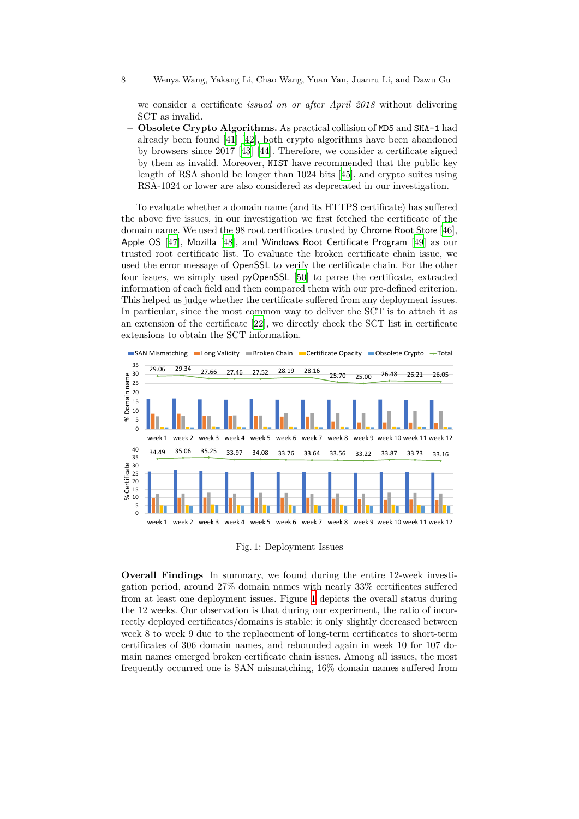8 Wenya Wang, Yakang Li, Chao Wang, Yuan Yan, Juanru Li, and Dawu Gu

we consider a certificate *issued on or after April 2018* without delivering SCT as invalid.

**– Obsolete Crypto Algorithms.** As practical collision of MD5 and SHA-1 had already been found [\[41](#page-18-1)] [[42\]](#page-18-2), both crypto algorithms have been abandoned by browsers since 2017 [[43\]](#page-18-3) [\[44](#page-18-4)]. Therefore, we consider a certificate signed by them as invalid. Moreover, NIST have recommended that the public key length of RSA should be longer than 1024 bits [[45\]](#page-18-5), and crypto suites using RSA-1024 or lower are also considered as deprecated in our investigation.

To evaluate whether a domain name (and its HTTPS certificate) has suffered the above five issues, in our investigation we first fetched the certificate of the domain name. We used the 98 root certificates trusted by Chrome Root Store [\[46](#page-18-6)], Apple OS [[47\]](#page-18-7), Mozilla [[48](#page-18-8)], and Windows Root Certificate Program [[49\]](#page-18-9) as our trusted root certificate list. To evaluate the broken certificate chain issue, we used the error message of OpenSSL to verify the certificate chain. For the other four issues, we simply used pyOpenSSL [\[50](#page-18-10)] to parse the certificate, extracted information of each field and then compared them with our pre-defined criterion. This helped us judge whether the certificate suffered from any deployment issues. In particular, since the most common way to deliver the SCT is to attach it as an extension of the certificate [[22\]](#page-17-7), we directly check the SCT list in certificate extensions to obtain the SCT information.

<span id="page-7-0"></span>

Fig. 1: Deployment Issues

**Overall Findings** In summary, we found during the entire 12-week investigation period, around 27% domain names with nearly 33% certificates suffered from at least one deployment issues. Figure [1](#page-7-0) depicts the overall status during the 12 weeks. Our observation is that during our experiment, the ratio of incorrectly deployed certificates/domains is stable: it only slightly decreased between week 8 to week 9 due to the replacement of long-term certificates to short-term certificates of 306 domain names, and rebounded again in week 10 for 107 domain names emerged broken certificate chain issues. Among all issues, the most frequently occurred one is SAN mismatching, 16% domain names suffered from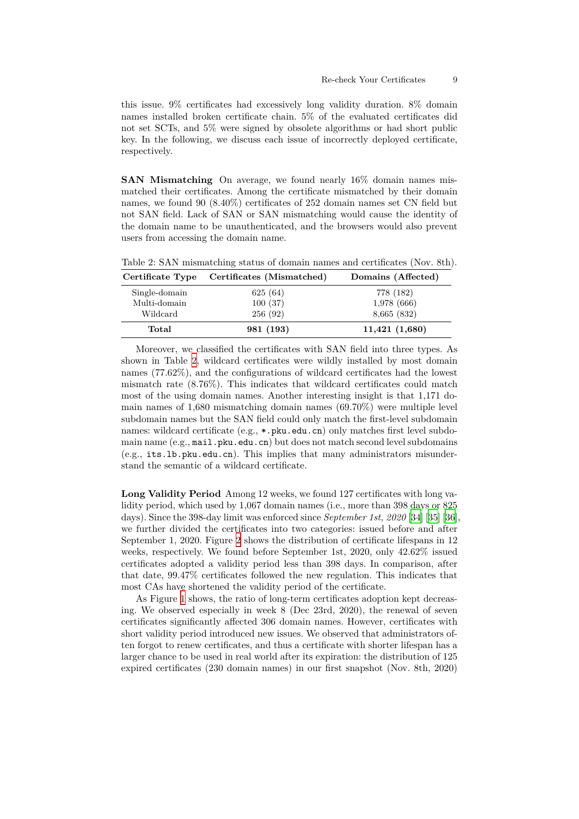this issue. 9% certificates had excessively long validity duration. 8% domain names installed broken certificate chain. 5% of the evaluated certificates did not set SCTs, and 5% were signed by obsolete algorithms or had short public key. In the following, we discuss each issue of incorrectly deployed certificate, respectively.

**SAN Mismatching** On average, we found nearly 16% domain names mismatched their certificates. Among the certificate mismatched by their domain names, we found 90 (8.40%) certificates of 252 domain names set CN field but not SAN field. Lack of SAN or SAN mismatching would cause the identity of the domain name to be unauthenticated, and the browsers would also prevent users from accessing the domain name.

| Certificate Type | Certificates (Mismatched) | Domains (Affected) |  |  |
|------------------|---------------------------|--------------------|--|--|
| Single-domain    | 625(64)                   | 778 (182)          |  |  |
| Multi-domain     | 100(37)                   | 1,978 (666)        |  |  |
| Wildcard         | 256(92)                   | 8,665 (832)        |  |  |
| Total            | 981 (193)                 | 11,421(1,680)      |  |  |

<span id="page-8-0"></span>Table 2: SAN mismatching status of domain names and certificates (Nov. 8th).

Moreover, we classified the certificates with SAN field into three types. As shown in Table [2](#page-8-0), wildcard certificates were wildly installed by most domain names (77.62%), and the configurations of wildcard certificates had the lowest mismatch rate (8.76%). This indicates that wildcard certificates could match most of the using domain names. Another interesting insight is that 1,171 domain names of 1,680 mismatching domain names (69.70%) were multiple level subdomain names but the SAN field could only match the first-level subdomain names: wildcard certificate (e.g., \*.pku.edu.cn) only matches first level subdomain name  $(e.g., \texttt{mail}.pku.edu can)$  but does not match second level subdomains (e.g., its.lb.pku.edu.cn). This implies that many administrators misunderstand the semantic of a wildcard certificate.

**Long Validity Period** Among 12 weeks, we found 127 certificates with long validity period, which used by 1,067 domain names (i.e., more than 398 days or 825 days). Since the 398-day limit was enforced since *September 1st, 2020* [[34\]](#page-17-19) [\[35](#page-17-20)] [\[36](#page-17-21)], we further divided the certificates into two categories: issued before and after September 1, 2020. Figure [2](#page-9-0) shows the distribution of certificate lifespans in 12 weeks, respectively. We found before September 1st, 2020, only 42.62% issued certificates adopted a validity period less than 398 days. In comparison, after that date, 99.47% certificates followed the new regulation. This indicates that most CAs have shortened the validity period of the certificate.

As Figure [1](#page-7-0) shows, the ratio of long-term certificates adoption kept decreasing. We observed especially in week 8 (Dec 23rd, 2020), the renewal of seven certificates significantly affected 306 domain names. However, certificates with short validity period introduced new issues. We observed that administrators often forgot to renew certificates, and thus a certificate with shorter lifespan has a larger chance to be used in real world after its expiration: the distribution of 125 expired certificates (230 domain names) in our first snapshot (Nov. 8th, 2020)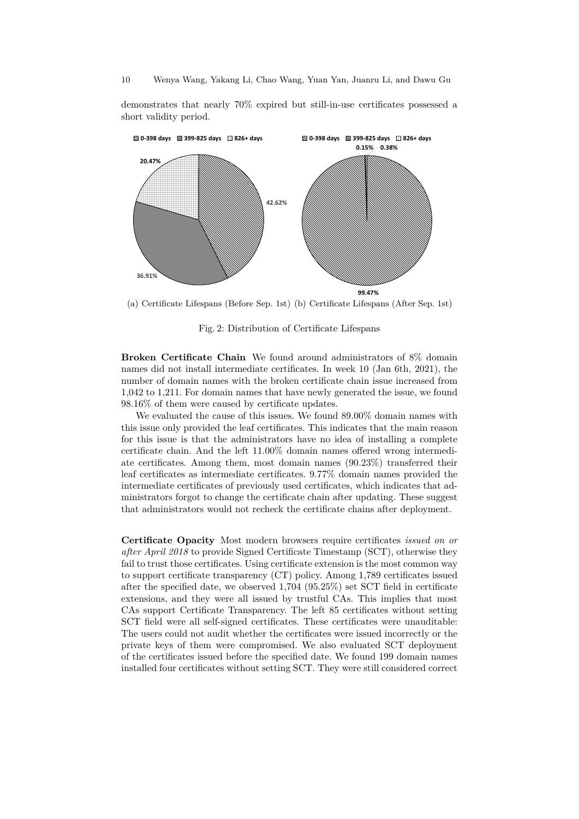#### 10 Wenya Wang, Yakang Li, Chao Wang, Yuan Yan, Juanru Li, and Dawu Gu

demonstrates that nearly 70% expired but still-in-use certificates possessed a short validity period.

<span id="page-9-0"></span>

(a) Certificate Lifespans (Before Sep. 1st) (b) Certificate Lifespans (After Sep. 1st)

Fig. 2: Distribution of Certificate Lifespans

**Broken Certificate Chain** We found around administrators of 8% domain names did not install intermediate certificates. In week 10 (Jan 6th, 2021), the number of domain names with the broken certificate chain issue increased from 1,042 to 1,211. For domain names that have newly generated the issue, we found 98.16% of them were caused by certificate updates.

We evaluated the cause of this issues. We found 89.00% domain names with this issue only provided the leaf certificates. This indicates that the main reason for this issue is that the administrators have no idea of installing a complete certificate chain. And the left 11.00% domain names offered wrong intermediate certificates. Among them, most domain names (90.23%) transferred their leaf certificates as intermediate certificates. 9.77% domain names provided the intermediate certificates of previously used certificates, which indicates that administrators forgot to change the certificate chain after updating. These suggest that administrators would not recheck the certificate chains after deployment.

**Certificate Opacity** Most modern browsers require certificates *issued on or after April 2018* to provide Signed Certificate Timestamp (SCT), otherwise they fail to trust those certificates. Using certificate extension is the most common way to support certificate transparency (CT) policy. Among 1,789 certificates issued after the specified date, we observed 1,704 (95.25%) set SCT field in certificate extensions, and they were all issued by trustful CAs. This implies that most CAs support Certificate Transparency. The left 85 certificates without setting SCT field were all self-signed certificates. These certificates were unauditable: The users could not audit whether the certificates were issued incorrectly or the private keys of them were compromised. We also evaluated SCT deployment of the certificates issued before the specified date. We found 199 domain names installed four certificates without setting SCT. They were still considered correct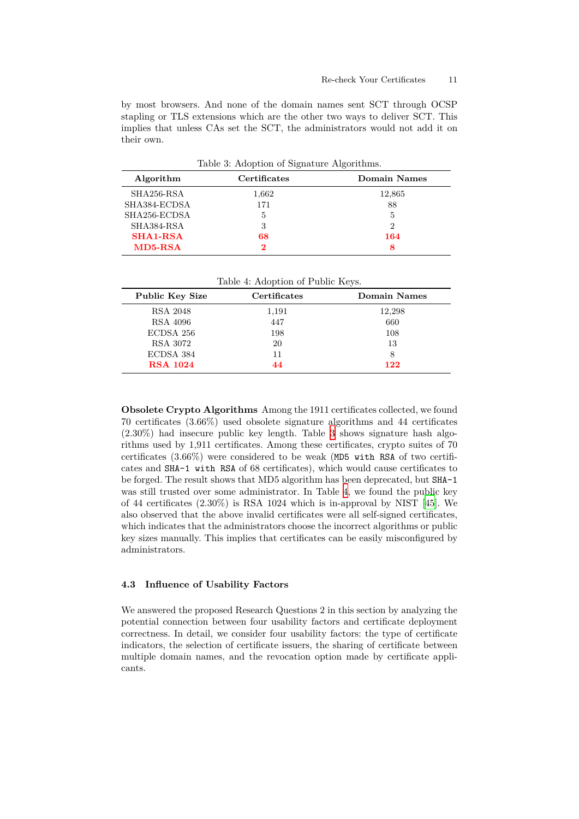by most browsers. And none of the domain names sent SCT through OCSP stapling or TLS extensions which are the other two ways to deliver SCT. This implies that unless CAs set the SCT, the administrators would not add it on their own.

Table 3: Adoption of Signature Algorithms.

<span id="page-10-1"></span>

| Algorithm       | Certificates | Domain Names |  |  |
|-----------------|--------------|--------------|--|--|
| SHA256-RSA      | 1,662        | 12,865       |  |  |
| SHA384-ECDSA    | 171          | 88           |  |  |
| SHA256-ECDSA    | 5            | $\mathbf{5}$ |  |  |
| SHA384-RSA      | 3            | 2            |  |  |
| <b>SHA1-RSA</b> | 68           | 164          |  |  |
| $MD5-RSA$       | 2            |              |  |  |

Table 4: Adoption of Public Keys.

<span id="page-10-2"></span>

| Public Key Size | <b>Certificates</b> | Domain Names |  |  |
|-----------------|---------------------|--------------|--|--|
| RSA 2048        | 1,191               | 12,298       |  |  |
| RSA 4096        | 447                 | 660          |  |  |
| ECDSA 256       | 198                 | 108          |  |  |
| RSA 3072        | 20                  | 13           |  |  |
| ECDSA 384       | 11                  | 8            |  |  |
| <b>RSA 1024</b> |                     | 122          |  |  |

**Obsolete Crypto Algorithms** Among the 1911 certificates collected, we found 70 certificates (3.66%) used obsolete signature algorithms and 44 certificates (2.30%) had insecure public key length. Table [3](#page-10-1) shows signature hash algorithms used by 1,911 certificates. Among these certificates, crypto suites of 70 certificates (3.66%) were considered to be weak (MD5 with RSA of two certificates and SHA-1 with RSA of 68 certificates), which would cause certificates to be forged. The result shows that MD5 algorithm has been deprecated, but SHA-1 was still trusted over some administrator. In Table [4,](#page-10-2) we found the public key of 44 certificates (2.30%) is RSA 1024 which is in-approval by NIST [\[45](#page-18-5)]. We also observed that the above invalid certificates were all self-signed certificates, which indicates that the administrators choose the incorrect algorithms or public key sizes manually. This implies that certificates can be easily misconfigured by administrators.

### <span id="page-10-0"></span>**4.3 Influence of Usability Factors**

We answered the proposed Research Questions 2 in this section by analyzing the potential connection between four usability factors and certificate deployment correctness. In detail, we consider four usability factors: the type of certificate indicators, the selection of certificate issuers, the sharing of certificate between multiple domain names, and the revocation option made by certificate applicants.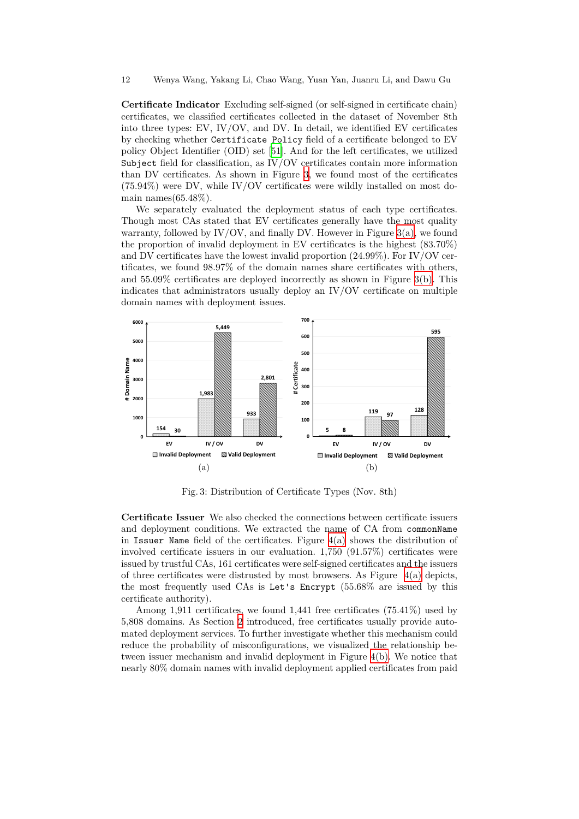**Certificate Indicator** Excluding self-signed (or self-signed in certificate chain) certificates, we classified certificates collected in the dataset of November 8th into three types: EV, IV/OV, and DV. In detail, we identified EV certificates by checking whether Certificate Policy field of a certificate belonged to EV policy Object Identifier (OID) set [[51\]](#page-18-11). And for the left certificates, we utilized Subject field for classification, as IV/OV certificates contain more information than DV certificates. As shown in Figure [3](#page-11-0), we found most of the certificates (75.94%) were DV, while IV/OV certificates were wildly installed on most domain names $(65.48\%).$ 

We separately evaluated the deployment status of each type certificates. Though most CAs stated that EV certificates generally have the most quality warranty, followed by IV/OV, and finally DV. However in Figure  $3(a)$ , we found the proportion of invalid deployment in EV certificates is the highest (83.70%) and DV certificates have the lowest invalid proportion (24.99%). For IV/OV certificates, we found 98.97% of the domain names share certificates with others, and 55.09% certificates are deployed incorrectly as shown in Figure [3\(b\).](#page-11-2) This indicates that administrators usually deploy an IV/OV certificate on multiple domain names with deployment issues.

<span id="page-11-1"></span><span id="page-11-0"></span>

<span id="page-11-2"></span>Fig. 3: Distribution of Certificate Types (Nov. 8th)

**Certificate Issuer** We also checked the connections between certificate issuers and deployment conditions. We extracted the name of CA from commonName in Issuer Name field of the certificates. Figure [4\(a\)](#page-12-0) shows the distribution of involved certificate issuers in our evaluation. 1,750 (91.57%) certificates were issued by trustful CAs, 161 certificates were self-signed certificates and the issuers of three certificates were distrusted by most browsers. As Figure  $4(a)$  depicts, the most frequently used CAs is Let's Encrypt (55.68% are issued by this certificate authority).

Among 1,911 certificates, we found 1,441 free certificates (75.41%) used by 5,808 domains. As Section [2](#page-2-0) introduced, free certificates usually provide automated deployment services. To further investigate whether this mechanism could reduce the probability of misconfigurations, we visualized the relationship between issuer mechanism and invalid deployment in Figure [4\(b\)](#page-12-1). We notice that nearly 80% domain names with invalid deployment applied certificates from paid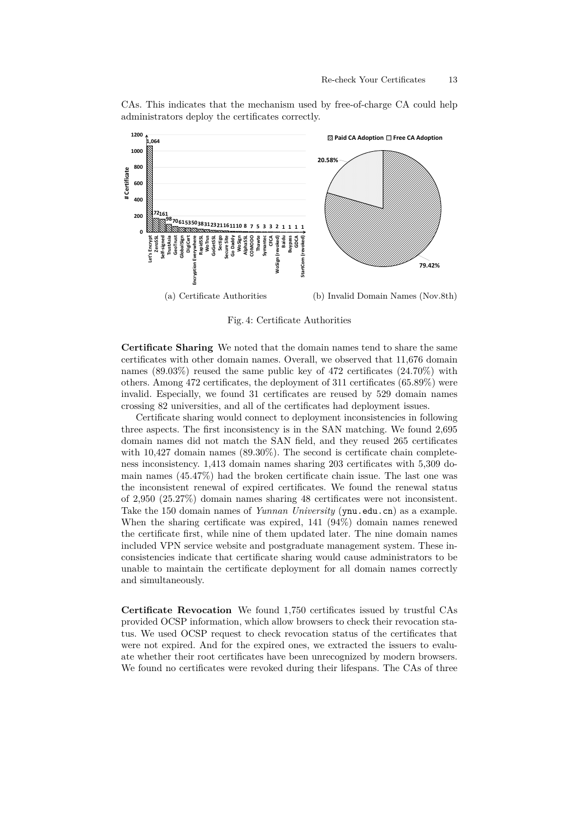

<span id="page-12-0"></span>

<span id="page-12-1"></span>Fig. 4: Certificate Authorities

**Certificate Sharing** We noted that the domain names tend to share the same certificates with other domain names. Overall, we observed that 11,676 domain names  $(89.03\%)$  reused the same public key of 472 certificates  $(24.70\%)$  with others. Among 472 certificates, the deployment of 311 certificates (65.89%) were invalid. Especially, we found 31 certificates are reused by 529 domain names crossing 82 universities, and all of the certificates had deployment issues.

Certificate sharing would connect to deployment inconsistencies in following three aspects. The first inconsistency is in the SAN matching. We found 2,695 domain names did not match the SAN field, and they reused 265 certificates with 10,427 domain names (89.30%). The second is certificate chain completeness inconsistency. 1,413 domain names sharing 203 certificates with 5,309 domain names (45.47%) had the broken certificate chain issue. The last one was the inconsistent renewal of expired certificates. We found the renewal status of 2,950 (25.27%) domain names sharing 48 certificates were not inconsistent. Take the 150 domain names of *Yunnan University* (ynu.edu.cn) as a example. When the sharing certificate was expired, 141 (94%) domain names renewed the certificate first, while nine of them updated later. The nine domain names included VPN service website and postgraduate management system. These inconsistencies indicate that certificate sharing would cause administrators to be unable to maintain the certificate deployment for all domain names correctly and simultaneously.

**Certificate Revocation** We found 1,750 certificates issued by trustful CAs provided OCSP information, which allow browsers to check their revocation status. We used OCSP request to check revocation status of the certificates that were not expired. And for the expired ones, we extracted the issuers to evaluate whether their root certificates have been unrecognized by modern browsers. We found no certificates were revoked during their lifespans. The CAs of three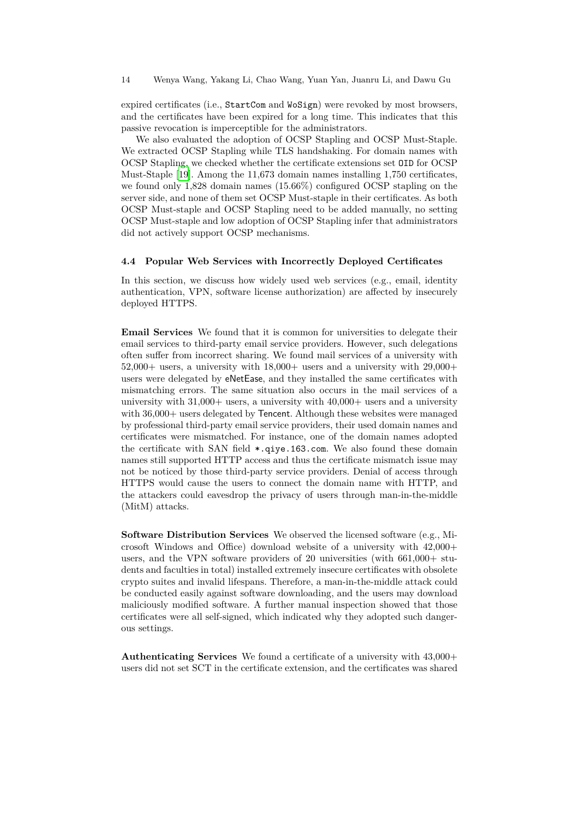expired certificates (i.e., StartCom and WoSign) were revoked by most browsers, and the certificates have been expired for a long time. This indicates that this passive revocation is imperceptible for the administrators.

We also evaluated the adoption of OCSP Stapling and OCSP Must-Staple. We extracted OCSP Stapling while TLS handshaking. For domain names with OCSP Stapling, we checked whether the certificate extensions set OID for OCSP Must-Staple [[19\]](#page-17-4). Among the 11,673 domain names installing 1,750 certificates, we found only 1,828 domain names (15.66%) configured OCSP stapling on the server side, and none of them set OCSP Must-staple in their certificates. As both OCSP Must-staple and OCSP Stapling need to be added manually, no setting OCSP Must-staple and low adoption of OCSP Stapling infer that administrators did not actively support OCSP mechanisms.

### <span id="page-13-0"></span>**4.4 Popular Web Services with Incorrectly Deployed Certificates**

In this section, we discuss how widely used web services (e.g., email, identity authentication, VPN, software license authorization) are affected by insecurely deployed HTTPS.

**Email Services** We found that it is common for universities to delegate their email services to third-party email service providers. However, such delegations often suffer from incorrect sharing. We found mail services of a university with  $52,000+$  users, a university with  $18,000+$  users and a university with  $29,000+$ users were delegated by eNetEase, and they installed the same certificates with mismatching errors. The same situation also occurs in the mail services of a university with  $31,000+$  users, a university with  $40,000+$  users and a university with 36,000+ users delegated by Tencent. Although these websites were managed by professional third-party email service providers, their used domain names and certificates were mismatched. For instance, one of the domain names adopted the certificate with SAN field \*.qiye.163.com. We also found these domain names still supported HTTP access and thus the certificate mismatch issue may not be noticed by those third-party service providers. Denial of access through HTTPS would cause the users to connect the domain name with HTTP, and the attackers could eavesdrop the privacy of users through man-in-the-middle (MitM) attacks.

**Software Distribution Services** We observed the licensed software (e.g., Microsoft Windows and Office) download website of a university with 42,000+ users, and the VPN software providers of 20 universities (with 661,000+ students and faculties in total) installed extremely insecure certificates with obsolete crypto suites and invalid lifespans. Therefore, a man-in-the-middle attack could be conducted easily against software downloading, and the users may download maliciously modified software. A further manual inspection showed that those certificates were all self-signed, which indicated why they adopted such dangerous settings.

**Authenticating Services** We found a certificate of a university with 43,000+ users did not set SCT in the certificate extension, and the certificates was shared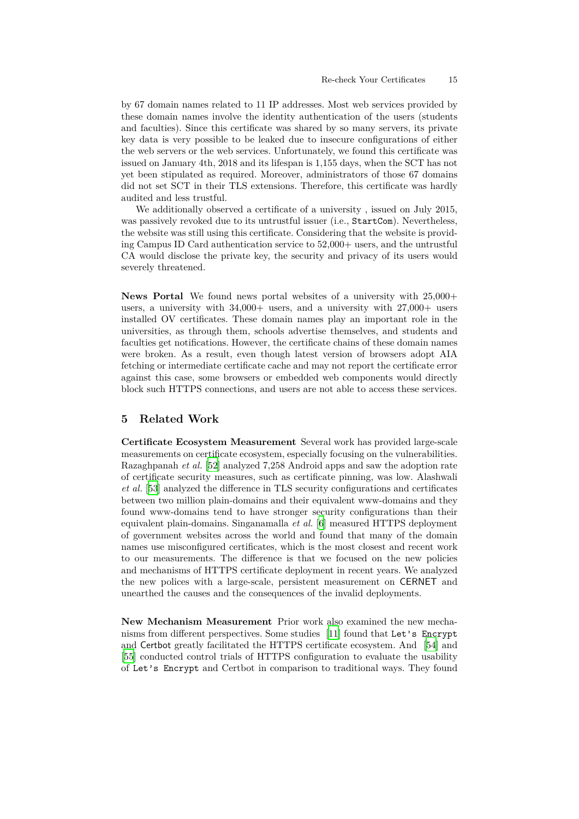by 67 domain names related to 11 IP addresses. Most web services provided by these domain names involve the identity authentication of the users (students and faculties). Since this certificate was shared by so many servers, its private key data is very possible to be leaked due to insecure configurations of either the web servers or the web services. Unfortunately, we found this certificate was issued on January 4th, 2018 and its lifespan is 1,155 days, when the SCT has not yet been stipulated as required. Moreover, administrators of those 67 domains did not set SCT in their TLS extensions. Therefore, this certificate was hardly audited and less trustful.

We additionally observed a certificate of a university , issued on July 2015, was passively revoked due to its untrustful issuer (i.e., StartCom). Nevertheless, the website was still using this certificate. Considering that the website is providing Campus ID Card authentication service to 52,000+ users, and the untrustful CA would disclose the private key, the security and privacy of its users would severely threatened.

**News Portal** We found news portal websites of a university with  $25,000+$ users, a university with  $34,000+$  users, and a university with  $27,000+$  users installed OV certificates. These domain names play an important role in the universities, as through them, schools advertise themselves, and students and faculties get notifications. However, the certificate chains of these domain names were broken. As a result, even though latest version of browsers adopt AIA fetching or intermediate certificate cache and may not report the certificate error against this case, some browsers or embedded web components would directly block such HTTPS connections, and users are not able to access these services.

# **5 Related Work**

**Certificate Ecosystem Measurement** Several work has provided large-scale measurements on certificate ecosystem, especially focusing on the vulnerabilities. Razaghpanah *et al.* [[52\]](#page-18-12) analyzed 7,258 Android apps and saw the adoption rate of certificate security measures, such as certificate pinning, was low. Alashwali *et al.* [\[53](#page-18-13)] analyzed the difference in TLS security configurations and certificates between two million plain-domains and their equivalent www-domains and they found www-domains tend to have stronger security configurations than their equivalent plain-domains. Singanamalla *et al.* [[6\]](#page-16-2) measured HTTPS deployment of government websites across the world and found that many of the domain names use misconfigured certificates, which is the most closest and recent work to our measurements. The difference is that we focused on the new policies and mechanisms of HTTPS certificate deployment in recent years. We analyzed the new polices with a large-scale, persistent measurement on CERNET and unearthed the causes and the consequences of the invalid deployments.

**New Mechanism Measurement** Prior work also examined the new mechanisms from different perspectives. Some studies [[11\]](#page-16-7) found that Let's Encrypt and Certbot greatly facilitated the HTTPS certificate ecosystem. And [\[54](#page-18-14)] and [\[55](#page-18-15)] conducted control trials of HTTPS configuration to evaluate the usability of Let's Encrypt and Certbot in comparison to traditional ways. They found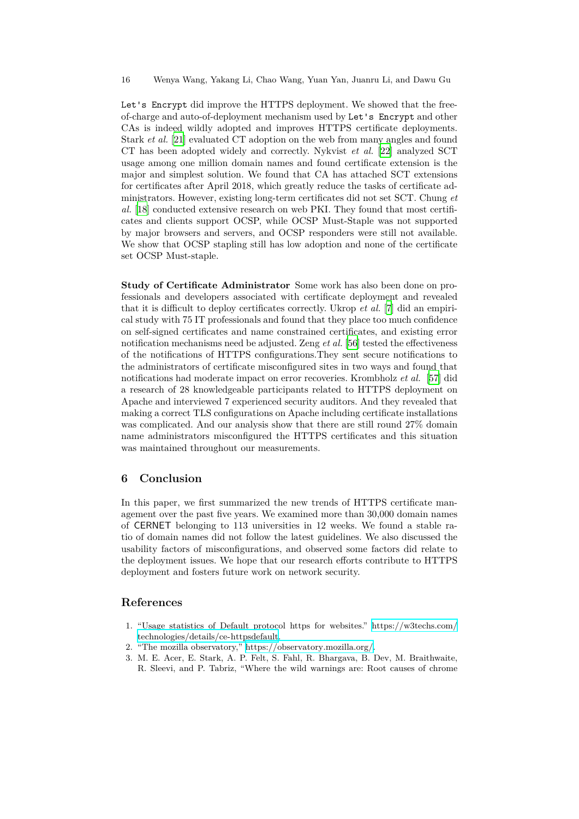Let's Encrypt did improve the HTTPS deployment. We showed that the freeof-charge and auto-of-deployment mechanism used by Let's Encrypt and other CAs is indeed wildly adopted and improves HTTPS certificate deployments. Stark *et al.* [[21\]](#page-17-6) evaluated CT adoption on the web from many angles and found CT has been adopted widely and correctly. Nykvist *et al.* [\[22](#page-17-7)] analyzed SCT usage among one million domain names and found certificate extension is the major and simplest solution. We found that CA has attached SCT extensions for certificates after April 2018, which greatly reduce the tasks of certificate administrators. However, existing long-term certificates did not set SCT. Chung *et al.* [\[18](#page-17-3)] conducted extensive research on web PKI. They found that most certificates and clients support OCSP, while OCSP Must-Staple was not supported by major browsers and servers, and OCSP responders were still not available. We show that OCSP stapling still has low adoption and none of the certificate set OCSP Must-staple.

**Study of Certificate Administrator** Some work has also been done on professionals and developers associated with certificate deployment and revealed that it is difficult to deploy certificates correctly. Ukrop *et al.* [[7\]](#page-16-3) did an empirical study with 75 IT professionals and found that they place too much confidence on self-signed certificates and name constrained certificates, and existing error notification mechanisms need be adjusted. Zeng *et al.* [[56\]](#page-18-16) tested the effectiveness of the notifications of HTTPS configurations.They sent secure notifications to the administrators of certificate misconfigured sites in two ways and found that notifications had moderate impact on error recoveries. Krombholz *et al.* [\[57](#page-18-17)] did a research of 28 knowledgeable participants related to HTTPS deployment on Apache and interviewed 7 experienced security auditors. And they revealed that making a correct TLS configurations on Apache including certificate installations was complicated. And our analysis show that there are still round 27% domain name administrators misconfigured the HTTPS certificates and this situation was maintained throughout our measurements.

### **6 Conclusion**

In this paper, we first summarized the new trends of HTTPS certificate management over the past five years. We examined more than 30,000 domain names of CERNET belonging to 113 universities in 12 weeks. We found a stable ratio of domain names did not follow the latest guidelines. We also discussed the usability factors of misconfigurations, and observed some factors did relate to the deployment issues. We hope that our research efforts contribute to HTTPS deployment and fosters future work on network security.

### **References**

- <span id="page-15-0"></span>1. "Usage statistics of Default protocol https for websites." [https://w3techs.com/](https://w3techs.com/technologies/details/ce-httpsdefault) [technologies/details/ce-httpsdefault](https://w3techs.com/technologies/details/ce-httpsdefault).
- <span id="page-15-1"></span>2. "The mozilla observatory," [https://observatory.mozilla.org/.](https://observatory.mozilla.org/)
- <span id="page-15-2"></span>3. M. E. Acer, E. Stark, A. P. Felt, S. Fahl, R. Bhargava, B. Dev, M. Braithwaite, R. Sleevi, and P. Tabriz, "Where the wild warnings are: Root causes of chrome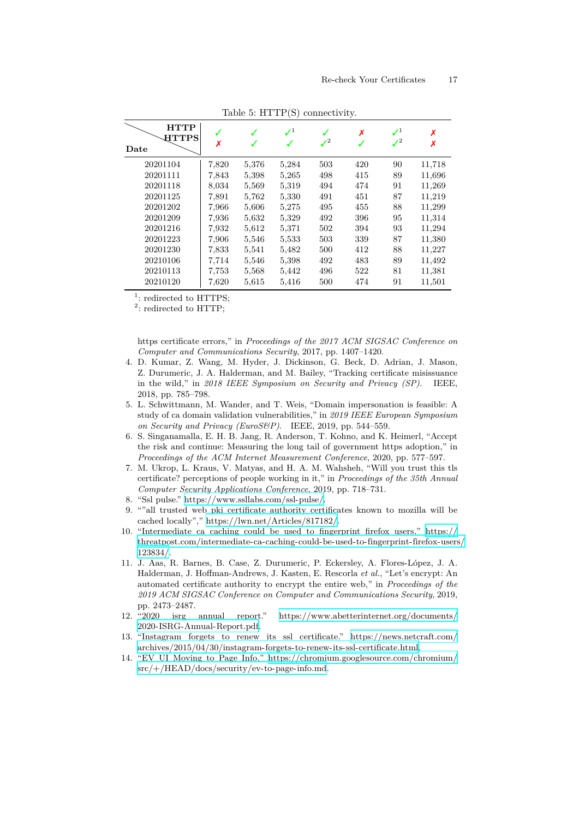| <b>HTTP</b><br><b>HTTPS</b><br>Date | X     |       | $\mathcal{I}^1$ | $J^2$ | X   | $\mathcal{L}^1$<br>$J^2$ | Х      |
|-------------------------------------|-------|-------|-----------------|-------|-----|--------------------------|--------|
| 20201104                            | 7,820 | 5,376 | 5,284           | 503   | 420 | 90                       | 11,718 |
| 20201111                            | 7,843 | 5,398 | 5,265           | 498   | 415 | 89                       | 11,696 |
| 20201118                            | 8,034 | 5,569 | 5,319           | 494   | 474 | 91                       | 11,269 |
| 20201125                            | 7,891 | 5,762 | 5,330           | 491   | 451 | 87                       | 11,219 |
| 20201202                            | 7,966 | 5,606 | 5,275           | 495   | 455 | 88                       | 11,299 |
| 20201209                            | 7,936 | 5,632 | 5,329           | 492   | 396 | 95                       | 11,314 |
| 20201216                            | 7,932 | 5,612 | 5,371           | 502   | 394 | 93                       | 11,294 |
| 20201223                            | 7,906 | 5,546 | 5,533           | 503   | 339 | 87                       | 11,380 |
| 20201230                            | 7,833 | 5,541 | 5,482           | 500   | 412 | 88                       | 11,227 |
| 20210106                            | 7,714 | 5,546 | 5,398           | 492   | 483 | 89                       | 11,492 |
| 20210113                            | 7.753 | 5,568 | 5,442           | 496   | 522 | 81                       | 11,381 |
| 20210120                            | 7,620 | 5,615 | 5,416           | 500   | 474 | 91                       | 11,501 |

Table 5: HTTP(S) connectivity.

<sup>1</sup>: redirected to HTTPS;

<sup>2</sup>: redirected to HTTP;

https certificate errors," in *Proceedings of the 2017 ACM SIGSAC Conference on Computer and Communications Security*, 2017, pp. 1407–1420.

- <span id="page-16-0"></span>4. D. Kumar, Z. Wang, M. Hyder, J. Dickinson, G. Beck, D. Adrian, J. Mason, Z. Durumeric, J. A. Halderman, and M. Bailey, "Tracking certificate misissuance in the wild," in *2018 IEEE Symposium on Security and Privacy (SP)*. IEEE, 2018, pp. 785–798.
- <span id="page-16-1"></span>5. L. Schwittmann, M. Wander, and T. Weis, "Domain impersonation is feasible: A study of ca domain validation vulnerabilities," in *2019 IEEE European Symposium on Security and Privacy (EuroS&P)*. IEEE, 2019, pp. 544–559.
- <span id="page-16-2"></span>6. S. Singanamalla, E. H. B. Jang, R. Anderson, T. Kohno, and K. Heimerl, "Accept the risk and continue: Measuring the long tail of government https adoption," in *Proceedings of the ACM Internet Measurement Conference*, 2020, pp. 577–597.
- <span id="page-16-3"></span>7. M. Ukrop, L. Kraus, V. Matyas, and H. A. M. Wahsheh, "Will you trust this tls certificate? perceptions of people working in it," in *Proceedings of the 35th Annual Computer Security Applications Conference*, 2019, pp. 718–731.
- <span id="page-16-4"></span>8. "Ssl pulse." [https://www.ssllabs.com/ssl-pulse/.](https://www.ssllabs.com/ssl-pulse/)
- <span id="page-16-5"></span>9. ""all trusted web pki certificate authority certificates known to mozilla will be cached locally"," [https://lwn.net/Articles/817182/.](https://lwn.net/Articles/817182/)
- <span id="page-16-6"></span>10. "Intermediate ca caching could be used to fingerprint firefox users," [https://](https://threatpost.com/intermediate-ca-caching-could-be-used-to-fingerprint-firefox-users/123834/) [threatpost.com/intermediate-ca-caching-could-be-used-to-fingerprint-firefox-users/](https://threatpost.com/intermediate-ca-caching-could-be-used-to-fingerprint-firefox-users/123834/) [123834/.](https://threatpost.com/intermediate-ca-caching-could-be-used-to-fingerprint-firefox-users/123834/)
- <span id="page-16-7"></span>11. J. Aas, R. Barnes, B. Case, Z. Durumeric, P. Eckersley, A. Flores-López, J. A. Halderman, J. Hoffman-Andrews, J. Kasten, E. Rescorla *et al.*, "Let's encrypt: An automated certificate authority to encrypt the entire web," in *Proceedings of the 2019 ACM SIGSAC Conference on Computer and Communications Security*, 2019,
- <span id="page-16-8"></span>pp. 2473–2487.<br>12. "2020 isrg isrg annual report." [https://www.abetterinternet.org/documents/](https://www.abetterinternet.org/documents/2020-ISRG-Annual-Report.pdf) [2020-ISRG-Annual-Report.pdf.](https://www.abetterinternet.org/documents/2020-ISRG-Annual-Report.pdf)
- <span id="page-16-9"></span>13. "Instagram forgets to renew its ssl certificate." [https://news.netcraft.com/](https://news.netcraft.com/archives/2015/04/30/instagram-forgets-to-renew-its-ssl-certificate.html) [archives/2015/04/30/instagram-forgets-to-renew-its-ssl-certificate.html](https://news.netcraft.com/archives/2015/04/30/instagram-forgets-to-renew-its-ssl-certificate.html).
- <span id="page-16-10"></span>14. "EV UI Moving to Page Info," [https://chromium.googlesource.com/chromium/](https://chromium.googlesource.com/chromium/src/+/HEAD/docs/security/ev-to-page-info.md) [src/+/HEAD/docs/security/ev-to-page-info.md.](https://chromium.googlesource.com/chromium/src/+/HEAD/docs/security/ev-to-page-info.md)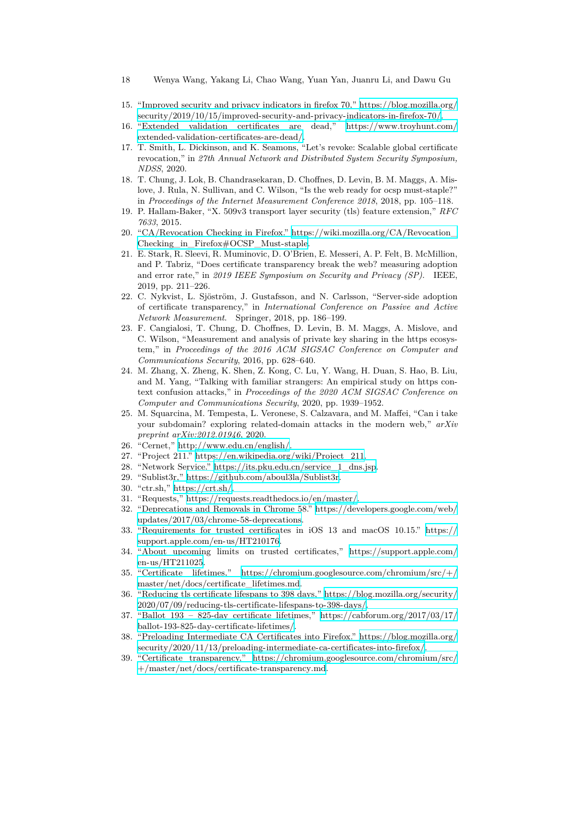- 18 Wenya Wang, Yakang Li, Chao Wang, Yuan Yan, Juanru Li, and Dawu Gu
- <span id="page-17-0"></span>15. "Improved security and privacy indicators in firefox 70," [https://blog.mozilla.org/](https://blog.mozilla.org/security/2019/10/15/improved-security-and-privacy-indicators-in-firefox-70/) [security/2019/10/15/improved-security-and-privacy-indicators-in-firefox-70/.](https://blog.mozilla.org/security/2019/10/15/improved-security-and-privacy-indicators-in-firefox-70/)
- <span id="page-17-1"></span>16. "Extended validation certificates are dead," [https://www.troyhunt.com/](https://www.troyhunt.com/extended-validation-certificates-are-dead/) [extended-validation-certificates-are-dead/](https://www.troyhunt.com/extended-validation-certificates-are-dead/).
- <span id="page-17-2"></span>17. T. Smith, L. Dickinson, and K. Seamons, "Let's revoke: Scalable global certificate revocation," in *27th Annual Network and Distributed System Security Symposium, NDSS*, 2020.
- <span id="page-17-3"></span>18. T. Chung, J. Lok, B. Chandrasekaran, D. Choffnes, D. Levin, B. M. Maggs, A. Mislove, J. Rula, N. Sullivan, and C. Wilson, "Is the web ready for ocsp must-staple?" in *Proceedings of the Internet Measurement Conference 2018*, 2018, pp. 105–118.
- <span id="page-17-4"></span>19. P. Hallam-Baker, "X. 509v3 transport layer security (tls) feature extension," *RFC 7633*, 2015.
- <span id="page-17-5"></span>20. "CA/Revocation Checking in Firefox." [https://wiki.mozilla.org/CA/Revocation\\_](https://wiki.mozilla.org/CA/Revocation_Checking_in_Firefox#OCSP_Must-staple) [Checking\\_in\\_Firefox#OCSP\\_Must-staple](https://wiki.mozilla.org/CA/Revocation_Checking_in_Firefox#OCSP_Must-staple).
- <span id="page-17-6"></span>21. E. Stark, R. Sleevi, R. Muminovic, D. O'Brien, E. Messeri, A. P. Felt, B. McMillion, and P. Tabriz, "Does certificate transparency break the web? measuring adoption and error rate," in *2019 IEEE Symposium on Security and Privacy (SP)*. IEEE, 2019, pp. 211–226.
- <span id="page-17-7"></span>22. C. Nykvist, L. Sjöström, J. Gustafsson, and N. Carlsson, "Server-side adoption of certificate transparency," in *International Conference on Passive and Active Network Measurement*. Springer, 2018, pp. 186–199.
- <span id="page-17-8"></span>23. F. Cangialosi, T. Chung, D. Choffnes, D. Levin, B. M. Maggs, A. Mislove, and C. Wilson, "Measurement and analysis of private key sharing in the https ecosystem," in *Proceedings of the 2016 ACM SIGSAC Conference on Computer and Communications Security*, 2016, pp. 628–640.
- <span id="page-17-9"></span>24. M. Zhang, X. Zheng, K. Shen, Z. Kong, C. Lu, Y. Wang, H. Duan, S. Hao, B. Liu, and M. Yang, "Talking with familiar strangers: An empirical study on https context confusion attacks," in *Proceedings of the 2020 ACM SIGSAC Conference on Computer and Communications Security*, 2020, pp. 1939–1952.
- <span id="page-17-10"></span>25. M. Squarcina, M. Tempesta, L. Veronese, S. Calzavara, and M. Maffei, "Can i take your subdomain? exploring related-domain attacks in the modern web," *arXiv preprint arXiv:2012.01946*, 2020.
- <span id="page-17-11"></span>26. "Cernet," [http://www.edu.cn/english/.](http://www.edu.cn/english/)
- <span id="page-17-12"></span>27. "Project 211." [https://en.wikipedia.org/wiki/Project\\_211.](https://en.wikipedia.org/wiki/Project_211)
- <span id="page-17-13"></span>28. "Network Service." [https://its.pku.edu.cn/service\\_1\\_dns.jsp.](https://its.pku.edu.cn/service_1_dns.jsp)
- <span id="page-17-14"></span>29. "Sublist3r," [https://github.com/aboul3la/Sublist3r.](https://github.com/aboul3la/Sublist3r)
- <span id="page-17-15"></span>30. "ctr.sh," <https://crt.sh/>.
- <span id="page-17-16"></span>31. "Requests," <https://requests.readthedocs.io/en/master/>.
- <span id="page-17-17"></span>32. "Deprecations and Removals in Chrome 58." [https://developers.google.com/web/](https://developers.google.com/web/updates/2017/03/chrome-58-deprecations) [updates/2017/03/chrome-58-deprecations](https://developers.google.com/web/updates/2017/03/chrome-58-deprecations).
- <span id="page-17-18"></span>33. "Requirements for trusted certificates in iOS 13 and macOS 10.15." [https://](https://support.apple.com/en-us/HT210176) [support.apple.com/en-us/HT210176](https://support.apple.com/en-us/HT210176).
- <span id="page-17-19"></span>34. "About upcoming limits on trusted certificates," [https://support.apple.com/](https://support.apple.com/en-us/HT211025) [en-us/HT211025.](https://support.apple.com/en-us/HT211025)
- <span id="page-17-20"></span>35. "Certificate lifetimes," [https://chromium.googlesource.com/chromium/src/+/](https://chromium.googlesource.com/chromium/src/+/master/net/docs/certificate_lifetimes.md) [master/net/docs/certificate\\_lifetimes.md](https://chromium.googlesource.com/chromium/src/+/master/net/docs/certificate_lifetimes.md).
- <span id="page-17-21"></span>36. "Reducing tls certificate lifespans to 398 days," [https://blog.mozilla.org/security/](https://blog.mozilla.org/security/2020/07/09/reducing-tls-certificate-lifespans-to-398-days/) [2020/07/09/reducing-tls-certificate-lifespans-to-398-days/](https://blog.mozilla.org/security/2020/07/09/reducing-tls-certificate-lifespans-to-398-days/).
- <span id="page-17-22"></span>37. "Ballot 193 – 825-day certificate lifetimes," [https://cabforum.org/2017/03/17/](https://cabforum.org/2017/03/17/ballot-193-825-day-certificate-lifetimes/) [ballot-193-825-day-certificate-lifetimes/.](https://cabforum.org/2017/03/17/ballot-193-825-day-certificate-lifetimes/)
- <span id="page-17-23"></span>38. "Preloading Intermediate CA Certificates into Firefox." [https://blog.mozilla.org/](https://blog.mozilla.org/security/2020/11/13/preloading-intermediate-ca-certificates-into-firefox/) [security/2020/11/13/preloading-intermediate-ca-certificates-into-firefox/.](https://blog.mozilla.org/security/2020/11/13/preloading-intermediate-ca-certificates-into-firefox/)
- <span id="page-17-24"></span>39. "Certificate transparency," [https://chromium.googlesource.com/chromium/src/](https://chromium.googlesource.com/chromium/src/+/master/net/docs/certificate-transparency.md) [+/master/net/docs/certificate-transparency.md](https://chromium.googlesource.com/chromium/src/+/master/net/docs/certificate-transparency.md).